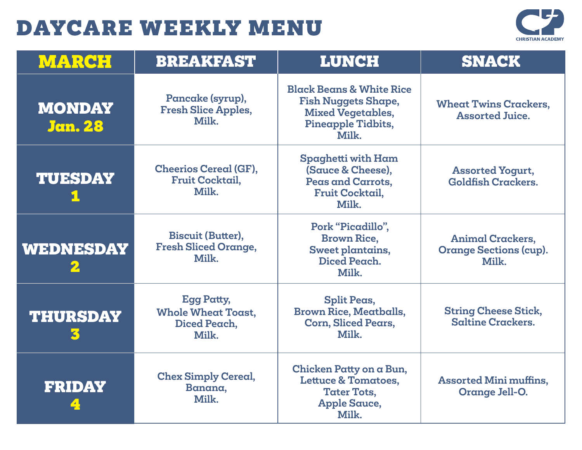

| <b>MARCH</b>                    | <b>BREAKFAST</b>                                                        | <b>LUNCH</b>                                                                                                                 | <b>SNACK</b>                                                      |
|---------------------------------|-------------------------------------------------------------------------|------------------------------------------------------------------------------------------------------------------------------|-------------------------------------------------------------------|
| <b>MONDAY</b><br><b>Jan. 28</b> | Pancake (syrup),<br><b>Fresh Slice Apples,</b><br>Milk.                 | <b>Black Beans &amp; White Rice</b><br><b>Fish Nuggets Shape,</b><br><b>Mixed Vegetables,</b><br>Pineapple Tidbits,<br>Milk. | <b>Wheat Twins Crackers,</b><br><b>Assorted Juice.</b>            |
| <b>TUESDAY</b>                  | <b>Cheerios Cereal (GF),</b><br><b>Fruit Cocktail,</b><br>Milk.         | Spaghetti with Ham<br>(Sauce & Cheese),<br>Peas and Carrots,<br><b>Fruit Cocktail,</b><br>Milk.                              | <b>Assorted Yogurt,</b><br><b>Goldfish Crackers.</b>              |
| WEDNESDAY                       | <b>Biscuit (Butter),</b><br><b>Fresh Sliced Orange,</b><br>Milk.        | Pork "Picadillo",<br><b>Brown Rice,</b><br>Sweet plantains,<br>Diced Peach.<br>Milk.                                         | <b>Animal Crackers,</b><br><b>Orange Sections (cup).</b><br>Milk. |
| <b>THURSDAY</b>                 | <b>Egg Patty,</b><br><b>Whole Wheat Toast,</b><br>Diced Peach,<br>Milk. | <b>Split Peas,</b><br><b>Brown Rice, Meatballs,</b><br><b>Corn, Sliced Pears,</b><br>Milk.                                   | <b>String Cheese Stick,</b><br><b>Saltine Crackers.</b>           |
| <b>FRIDAY</b>                   | <b>Chex Simply Cereal,</b><br>Banana,<br>Milk.                          | Chicken Patty on a Bun,<br><b>Lettuce &amp; Tomatoes,</b><br><b>Tater Tots,</b><br><b>Apple Sauce,</b><br>Milk.              | <b>Assorted Mini muffins,</b><br>Orange Jell-O.                   |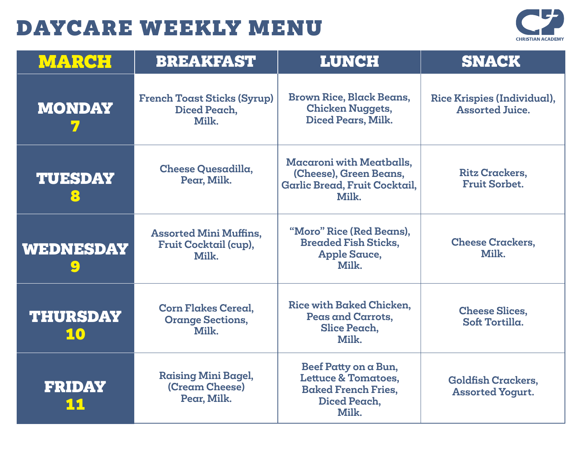

| <b>MARCH</b>          | <b>BREAKFAST</b>                                                | <b>LUNCH</b>                                                                                                  | <b>SNACK</b>                                          |
|-----------------------|-----------------------------------------------------------------|---------------------------------------------------------------------------------------------------------------|-------------------------------------------------------|
| <b>MONDAY</b>         | <b>French Toast Sticks (Syrup)</b><br>Diced Peach,<br>Milk.     | <b>Brown Rice, Black Beans,</b><br><b>Chicken Nuggets,</b><br>Diced Pears, Milk.                              | Rice Krispies (Individual),<br><b>Assorted Juice.</b> |
| <b>TUESDAY</b><br>8   | Cheese Quesadilla,<br>Pear, Milk.                               | <b>Macaroni with Meatballs,</b><br>(Cheese), Green Beans,<br>Garlic Bread, Fruit Cocktail,<br>Milk.           | <b>Ritz Crackers,</b><br><b>Fruit Sorbet.</b>         |
| WEDNESDAY             | <b>Assorted Mini Muffins,</b><br>Fruit Cocktail (cup),<br>Milk. | "Moro" Rice (Red Beans),<br><b>Breaded Fish Sticks,</b><br><b>Apple Sauce,</b><br>Milk.                       | <b>Cheese Crackers,</b><br>Milk.                      |
| <b>THURSDAY</b><br>10 | <b>Corn Flakes Cereal,</b><br><b>Orange Sections,</b><br>Milk.  | Rice with Baked Chicken.<br>Peas and Carrots,<br>Slice Peach,<br>Milk.                                        | <b>Cheese Slices,</b><br>Soft Tortilla.               |
| <b>FRIDAY</b>         | <b>Raising Mini Bagel,</b><br>(Cream Cheese)<br>Pear, Milk.     | Beef Patty on a Bun,<br><b>Lettuce &amp; Tomatoes,</b><br><b>Baked French Fries,</b><br>Diced Peach.<br>Milk. | <b>Goldfish Crackers,</b><br><b>Assorted Yogurt.</b>  |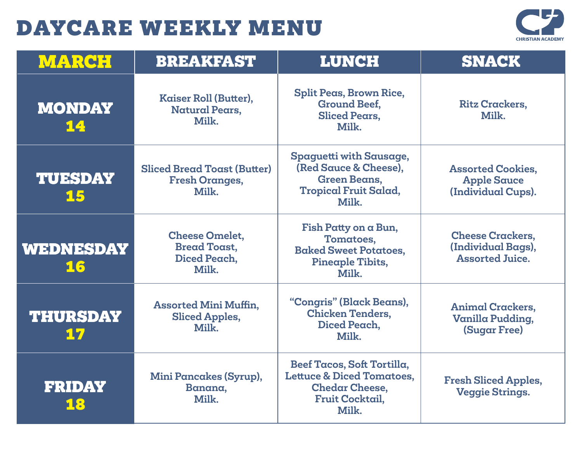

| <b>MARCH</b>          | <b>BREAKFAST</b>                                                      | <b>LUNCH</b>                                                                                                                   | <b>SNACK</b>                                                            |
|-----------------------|-----------------------------------------------------------------------|--------------------------------------------------------------------------------------------------------------------------------|-------------------------------------------------------------------------|
| <b>MONDAY</b><br>14   | Kaiser Roll (Butter),<br><b>Natural Pears,</b><br>Milk.               | Split Peas, Brown Rice,<br><b>Ground Beef,</b><br><b>Sliced Pears.</b><br>Milk.                                                | <b>Ritz Crackers,</b><br>Milk.                                          |
| <b>TUESDAY</b><br>15  | <b>Sliced Bread Toast (Butter)</b><br><b>Fresh Oranges,</b><br>Milk.  | Spaguetti with Sausage,<br>(Red Sauce & Cheese).<br><b>Green Beans,</b><br><b>Tropical Fruit Salad,</b><br>Milk.               | <b>Assorted Cookies,</b><br><b>Apple Sauce</b><br>(Individual Cups).    |
| WEDNESDAY<br>16       | <b>Cheese Omelet,</b><br><b>Bread Toast,</b><br>Diced Peach,<br>Milk. | Fish Patty on a Bun,<br>Tomatoes,<br><b>Baked Sweet Potatoes.</b><br>Pineaple Tibits,<br>Milk.                                 | <b>Cheese Crackers,</b><br>(Individual Bags),<br><b>Assorted Juice.</b> |
| <b>THURSDAY</b><br>17 | <b>Assorted Mini Muffin,</b><br><b>Sliced Apples,</b><br>Milk.        | "Congris" (Black Beans),<br><b>Chicken Tenders,</b><br>Diced Peach.<br>Milk.                                                   | <b>Animal Crackers,</b><br>Vanilla Pudding,<br><b>(Sugar Free)</b>      |
| <b>FRIDAY</b><br>18   | Mini Pancakes (Syrup),<br>Banana,<br>Milk.                            | Beef Tacos, Soft Tortilla,<br><b>Lettuce &amp; Diced Tomatoes,</b><br><b>Chedar Cheese,</b><br><b>Fruit Cocktail,</b><br>Milk. | <b>Fresh Sliced Apples,</b><br><b>Veggie Strings.</b>                   |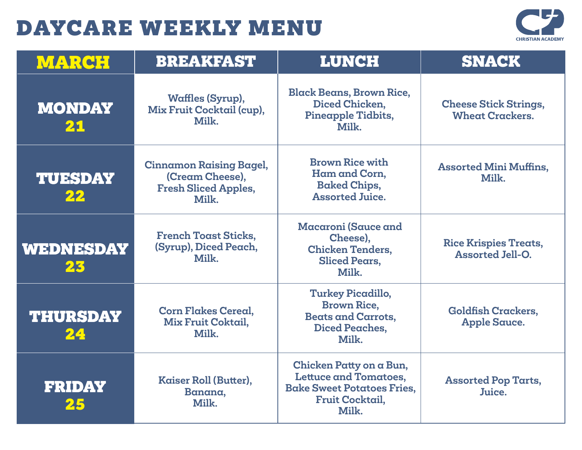

| <b>MARCH</b>          | <b>BREAKFAST</b>                                                                          | <b>LUNCH</b>                                                                                                                    | <b>SNACK</b>                                            |
|-----------------------|-------------------------------------------------------------------------------------------|---------------------------------------------------------------------------------------------------------------------------------|---------------------------------------------------------|
| <b>MONDAY</b><br>21   | <b>Waffles (Syrup),</b><br>Mix Fruit Cocktail (cup),<br>Milk.                             | <b>Black Beans, Brown Rice,</b><br>Diced Chicken,<br>Pineapple Tidbits,<br>Milk.                                                | <b>Cheese Stick Strings,</b><br><b>Wheat Crackers.</b>  |
| <b>TUESDAY</b><br>22  | <b>Cinnamon Raising Bagel,</b><br>(Cream Cheese),<br><b>Fresh Sliced Apples,</b><br>Milk. | <b>Brown Rice with</b><br>Ham and Corn,<br><b>Baked Chips,</b><br><b>Assorted Juice.</b>                                        | <b>Assorted Mini Muffins,</b><br>Milk.                  |
| WEDNESDAY<br>23       | <b>French Toast Sticks,</b><br>(Syrup), Diced Peach,<br>Milk.                             | Macaroni (Sauce and<br>Cheese),<br><b>Chicken Tenders.</b><br><b>Sliced Pears,</b><br>Milk.                                     | <b>Rice Krispies Treats,</b><br><b>Assorted Jell-O.</b> |
| <b>THURSDAY</b><br>24 | <b>Corn Flakes Cereal.</b><br>Mix Fruit Coktail,<br>Milk.                                 | Turkey Picadillo,<br><b>Brown Rice.</b><br><b>Beats and Carrots,</b><br><b>Diced Peaches,</b><br>Milk.                          | <b>Goldfish Crackers,</b><br><b>Apple Sauce.</b>        |
| <b>FRIDAY</b><br>25   | Kaiser Roll (Butter),<br>Banana,<br>Milk.                                                 | Chicken Patty on a Bun,<br><b>Lettuce and Tomatoes,</b><br><b>Bake Sweet Potatoes Fries,</b><br><b>Fruit Cocktail,</b><br>Milk. | <b>Assorted Pop Tarts,</b><br>Juice.                    |